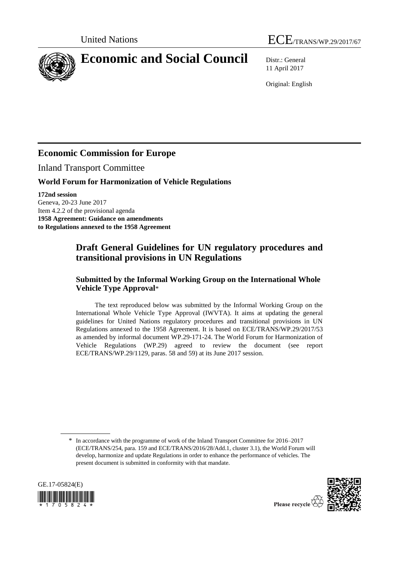



11 April 2017

Original: English

# **Economic Commission for Europe**

Inland Transport Committee

## **World Forum for Harmonization of Vehicle Regulations**

**172nd session** Geneva, 20-23 June 2017 Item 4.2.2 of the provisional agenda **1958 Agreement: Guidance on amendments to Regulations annexed to the 1958 Agreement**

# **Draft General Guidelines for UN regulatory procedures and transitional provisions in UN Regulations**

## **Submitted by the Informal Working Group on the International Whole Vehicle Type Approval**\*

The text reproduced below was submitted by the Informal Working Group on the International Whole Vehicle Type Approval (IWVTA). It aims at updating the general guidelines for United Nations regulatory procedures and transitional provisions in UN Regulations annexed to the 1958 Agreement. It is based on ECE/TRANS/WP.29/2017/53 as amended by informal document WP.29-171-24. The World Forum for Harmonization of Vehicle Regulations (WP.29) agreed to review the document (see report ECE/TRANS/WP.29/1129, paras. 58 and 59) at its June 2017 session.

<sup>\*</sup> In accordance with the programme of work of the Inland Transport Committee for 2016–2017 (ECE/TRANS/254, para. 159 and ECE/TRANS/2016/28/Add.1, cluster 3.1), the World Forum will develop, harmonize and update Regulations in order to enhance the performance of vehicles. The present document is submitted in conformity with that mandate.



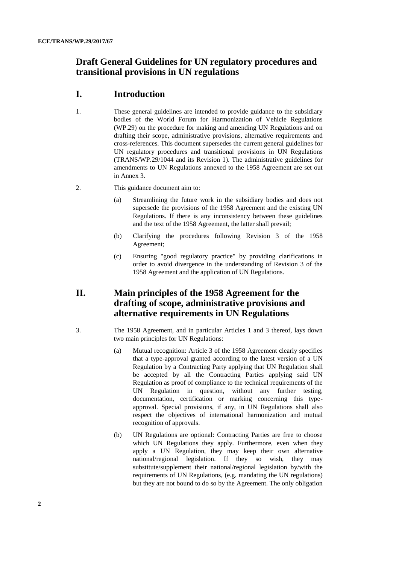# **Draft General Guidelines for UN regulatory procedures and transitional provisions in UN regulations**

## **I. Introduction**

- 1. These general guidelines are intended to provide guidance to the subsidiary bodies of the World Forum for Harmonization of Vehicle Regulations (WP.29) on the procedure for making and amending UN Regulations and on drafting their scope, administrative provisions, alternative requirements and cross-references. This document supersedes the current general guidelines for UN regulatory procedures and transitional provisions in UN Regulations (TRANS/WP.29/1044 and its Revision 1). The administrative guidelines for amendments to UN Regulations annexed to the 1958 Agreement are set out in Annex 3.
- 2. This guidance document aim to:
	- (a) Streamlining the future work in the subsidiary bodies and does not supersede the provisions of the 1958 Agreement and the existing UN Regulations. If there is any inconsistency between these guidelines and the text of the 1958 Agreement, the latter shall prevail;
	- (b) Clarifying the procedures following Revision 3 of the 1958 Agreement;
	- (c) Ensuring "good regulatory practice" by providing clarifications in order to avoid divergence in the understanding of Revision 3 of the 1958 Agreement and the application of UN Regulations.

# **II. Main principles of the 1958 Agreement for the drafting of scope, administrative provisions and alternative requirements in UN Regulations**

- 3. The 1958 Agreement, and in particular Articles 1 and 3 thereof, lays down two main principles for UN Regulations:
	- (a) Mutual recognition: Article 3 of the 1958 Agreement clearly specifies that a type-approval granted according to the latest version of a UN Regulation by a Contracting Party applying that UN Regulation shall be accepted by all the Contracting Parties applying said UN Regulation as proof of compliance to the technical requirements of the UN Regulation in question, without any further testing, documentation, certification or marking concerning this typeapproval. Special provisions, if any, in UN Regulations shall also respect the objectives of international harmonization and mutual recognition of approvals.
	- (b) UN Regulations are optional: Contracting Parties are free to choose which UN Regulations they apply. Furthermore, even when they apply a UN Regulation, they may keep their own alternative national/regional legislation. If they so wish, they may substitute/supplement their national/regional legislation by/with the requirements of UN Regulations, (e.g. mandating the UN regulations) but they are not bound to do so by the Agreement. The only obligation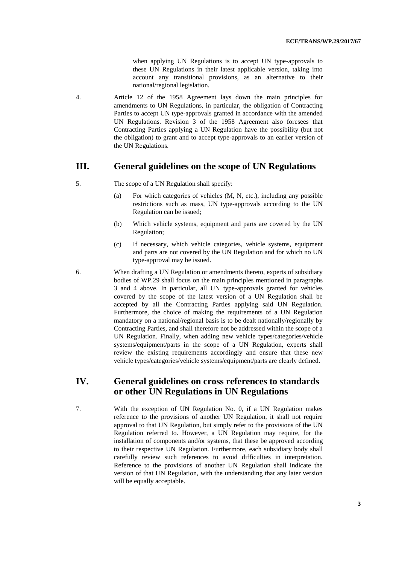when applying UN Regulations is to accept UN type-approvals to these UN Regulations in their latest applicable version, taking into account any transitional provisions, as an alternative to their national/regional legislation.

4. Article 12 of the 1958 Agreement lays down the main principles for amendments to UN Regulations, in particular, the obligation of Contracting Parties to accept UN type-approvals granted in accordance with the amended UN Regulations. Revision 3 of the 1958 Agreement also foresees that Contracting Parties applying a UN Regulation have the possibility (but not the obligation) to grant and to accept type-approvals to an earlier version of the UN Regulations.

### **III. General guidelines on the scope of UN Regulations**

- 5. The scope of a UN Regulation shall specify:
	- (a) For which categories of vehicles (M, N, etc.), including any possible restrictions such as mass, UN type-approvals according to the UN Regulation can be issued;
	- (b) Which vehicle systems, equipment and parts are covered by the UN Regulation;
	- (c) If necessary, which vehicle categories, vehicle systems, equipment and parts are not covered by the UN Regulation and for which no UN type-approval may be issued.
- 6. When drafting a UN Regulation or amendments thereto, experts of subsidiary bodies of WP.29 shall focus on the main principles mentioned in paragraphs 3 and 4 above. In particular, all UN type-approvals granted for vehicles covered by the scope of the latest version of a UN Regulation shall be accepted by all the Contracting Parties applying said UN Regulation. Furthermore, the choice of making the requirements of a UN Regulation mandatory on a national/regional basis is to be dealt nationally/regionally by Contracting Parties, and shall therefore not be addressed within the scope of a UN Regulation. Finally, when adding new vehicle types/categories/vehicle systems/equipment/parts in the scope of a UN Regulation, experts shall review the existing requirements accordingly and ensure that these new vehicle types/categories/vehicle systems/equipment/parts are clearly defined.

## **IV. General guidelines on cross references to standards or other UN Regulations in UN Regulations**

7. With the exception of UN Regulation No. 0, if a UN Regulation makes reference to the provisions of another UN Regulation, it shall not require approval to that UN Regulation, but simply refer to the provisions of the UN Regulation referred to. However, a UN Regulation may require, for the installation of components and/or systems, that these be approved according to their respective UN Regulation. Furthermore, each subsidiary body shall carefully review such references to avoid difficulties in interpretation. Reference to the provisions of another UN Regulation shall indicate the version of that UN Regulation, with the understanding that any later version will be equally acceptable.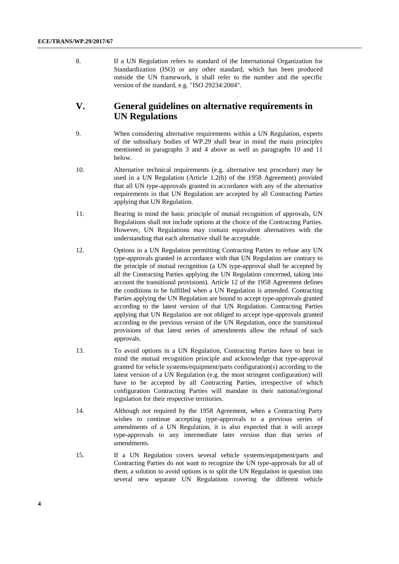8. If a UN Regulation refers to standard of the International Organization for Standardization (ISO) or any other standard, which has been produced outside the UN framework, it shall refer to the number and the specific version of the standard, e.g. "ISO 29234:2004".

## **V. General guidelines on alternative requirements in UN Regulations**

- 9. When considering alternative requirements within a UN Regulation, experts of the subsidiary bodies of WP.29 shall bear in mind the main principles mentioned in paragraphs 3 and 4 above as well as paragraphs 10 and 11 below.
- 10. Alternative technical requirements (e.g. alternative test procedure) may be used in a UN Regulation (Article 1.2(b) of the 1958 Agreement) provided that all UN type-approvals granted in accordance with any of the alternative requirements in that UN Regulation are accepted by all Contracting Parties applying that UN Regulation.
- 11. Bearing in mind the basic principle of mutual recognition of approvals, UN Regulations shall not include options at the choice of the Contracting Parties. However, UN Regulations may contain equivalent alternatives with the understanding that each alternative shall be acceptable.
- 12. Options in a UN Regulation permitting Contracting Parties to refuse any UN type-approvals granted in accordance with that UN Regulation are contrary to the principle of mutual recognition (a UN type-approval shall be accepted by all the Contracting Parties applying the UN Regulation concerned, taking into account the transitional provisions). Article 12 of the 1958 Agreement defines the conditions to be fulfilled when a UN Regulation is amended. Contracting Parties applying the UN Regulation are bound to accept type-approvals granted according to the latest version of that UN Regulation. Contracting Parties applying that UN Regulation are not obliged to accept type-approvals granted according to the previous version of the UN Regulation, once the transitional provisions of that latest series of amendments allow the refusal of such approvals.
- 13. To avoid options in a UN Regulation, Contracting Parties have to bear in mind the mutual recognition principle and acknowledge that type-approval granted for vehicle systems/equipment/parts configuration(s) according to the latest version of a UN Regulation (e.g. the most stringent configuration) will have to be accepted by all Contracting Parties, irrespective of which configuration Contracting Parties will mandate in their national/regional legislation for their respective territories.
- 14. Although not required by the 1958 Agreement, when a Contracting Party wishes to continue accepting type-approvals to a previous series of amendments of a UN Regulation, it is also expected that it will accept type-approvals to any intermediate later version than that series of amendments.
- 15. If a UN Regulation covers several vehicle systems/equipment/parts and Contracting Parties do not want to recognize the UN type-approvals for all of them, a solution to avoid options is to split the UN Regulation in question into several new separate UN Regulations covering the different vehicle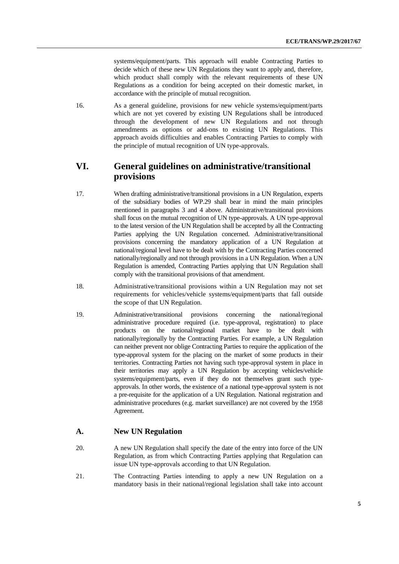systems/equipment/parts. This approach will enable Contracting Parties to decide which of these new UN Regulations they want to apply and, therefore, which product shall comply with the relevant requirements of these UN Regulations as a condition for being accepted on their domestic market, in accordance with the principle of mutual recognition.

16. As a general guideline, provisions for new vehicle systems/equipment/parts which are not yet covered by existing UN Regulations shall be introduced through the development of new UN Regulations and not through amendments as options or add-ons to existing UN Regulations. This approach avoids difficulties and enables Contracting Parties to comply with the principle of mutual recognition of UN type-approvals.

## **VI. General guidelines on administrative/transitional provisions**

- 17. When drafting administrative/transitional provisions in a UN Regulation, experts of the subsidiary bodies of WP.29 shall bear in mind the main principles mentioned in paragraphs 3 and 4 above. Administrative/transitional provisions shall focus on the mutual recognition of UN type-approvals. A UN type-approval to the latest version of the UN Regulation shall be accepted by all the Contracting Parties applying the UN Regulation concerned. Administrative/transitional provisions concerning the mandatory application of a UN Regulation at national/regional level have to be dealt with by the Contracting Parties concerned nationally/regionally and not through provisions in a UN Regulation. When a UN Regulation is amended, Contracting Parties applying that UN Regulation shall comply with the transitional provisions of that amendment.
- 18. Administrative/transitional provisions within a UN Regulation may not set requirements for vehicles/vehicle systems/equipment/parts that fall outside the scope of that UN Regulation.
- 19. Administrative/transitional provisions concerning the national/regional administrative procedure required (i.e. type-approval, registration) to place products on the national/regional market have to be dealt with nationally/regionally by the Contracting Parties. For example, a UN Regulation can neither prevent nor oblige Contracting Parties to require the application of the type-approval system for the placing on the market of some products in their territories. Contracting Parties not having such type-approval system in place in their territories may apply a UN Regulation by accepting vehicles/vehicle systems/equipment/parts, even if they do not themselves grant such typeapprovals. In other words, the existence of a national type-approval system is not a pre-requisite for the application of a UN Regulation. National registration and administrative procedures (e.g. market surveillance) are not covered by the 1958 Agreement.

### **A. New UN Regulation**

- 20. A new UN Regulation shall specify the date of the entry into force of the UN Regulation, as from which Contracting Parties applying that Regulation can issue UN type-approvals according to that UN Regulation.
- 21. The Contracting Parties intending to apply a new UN Regulation on a mandatory basis in their national/regional legislation shall take into account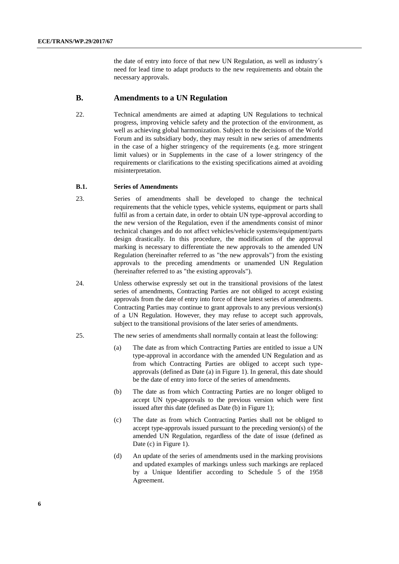the date of entry into force of that new UN Regulation, as well as industry´s need for lead time to adapt products to the new requirements and obtain the necessary approvals.

### **B. Amendments to a UN Regulation**

22. Technical amendments are aimed at adapting UN Regulations to technical progress, improving vehicle safety and the protection of the environment, as well as achieving global harmonization. Subject to the decisions of the World Forum and its subsidiary body, they may result in new series of amendments in the case of a higher stringency of the requirements (e.g. more stringent limit values) or in Supplements in the case of a lower stringency of the requirements or clarifications to the existing specifications aimed at avoiding misinterpretation.

#### **B.1. Series of Amendments**

- 23. Series of amendments shall be developed to change the technical requirements that the vehicle types, vehicle systems, equipment or parts shall fulfil as from a certain date, in order to obtain UN type-approval according to the new version of the Regulation, even if the amendments consist of minor technical changes and do not affect vehicles/vehicle systems/equipment/parts design drastically. In this procedure, the modification of the approval marking is necessary to differentiate the new approvals to the amended UN Regulation (hereinafter referred to as "the new approvals") from the existing approvals to the preceding amendments or unamended UN Regulation (hereinafter referred to as "the existing approvals").
- 24. Unless otherwise expressly set out in the transitional provisions of the latest series of amendments, Contracting Parties are not obliged to accept existing approvals from the date of entry into force of these latest series of amendments. Contracting Parties may continue to grant approvals to any previous version(s) of a UN Regulation. However, they may refuse to accept such approvals, subject to the transitional provisions of the later series of amendments.
- 25. The new series of amendments shall normally contain at least the following:
	- (a) The date as from which Contracting Parties are entitled to issue a UN type-approval in accordance with the amended UN Regulation and as from which Contracting Parties are obliged to accept such typeapprovals (defined as Date (a) in Figure 1). In general, this date should be the date of entry into force of the series of amendments.
	- (b) The date as from which Contracting Parties are no longer obliged to accept UN type-approvals to the previous version which were first issued after this date (defined as Date (b) in Figure 1);
	- (c) The date as from which Contracting Parties shall not be obliged to accept type-approvals issued pursuant to the preceding version(s) of the amended UN Regulation, regardless of the date of issue (defined as Date (c) in Figure 1).
	- (d) An update of the series of amendments used in the marking provisions and updated examples of markings unless such markings are replaced by a Unique Identifier according to Schedule 5 of the 1958 Agreement.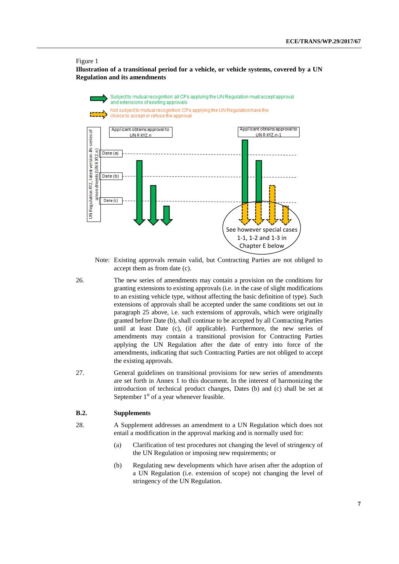#### Figure 1

**Illustration of a transitional period for a vehicle, or vehicle systems, covered by a UN Regulation and its amendments**





Note: Existing approvals remain valid, but Contracting Parties are not obliged to accept them as from date (c).

- 26. The new series of amendments may contain a provision on the conditions for granting extensions to existing approvals (i.e. in the case of slight modifications to an existing vehicle type, without affecting the basic definition of type). Such extensions of approvals shall be accepted under the same conditions set out in paragraph 25 above, i.e. such extensions of approvals, which were originally granted before Date (b), shall continue to be accepted by all Contracting Parties until at least Date (c), (if applicable). Furthermore, the new series of amendments may contain a transitional provision for Contracting Parties applying the UN Regulation after the date of entry into force of the amendments, indicating that such Contracting Parties are not obliged to accept the existing approvals.
- 27. General guidelines on transitional provisions for new series of amendments are set forth in Annex 1 to this document. In the interest of harmonizing the introduction of technical product changes, Dates (b) and (c) shall be set at September  $1<sup>st</sup>$  of a year whenever feasible.

#### **B.2. Supplements**

- 28. A Supplement addresses an amendment to a UN Regulation which does not entail a modification in the approval marking and is normally used for:
	- (a) Clarification of test procedures not changing the level of stringency of the UN Regulation or imposing new requirements; or
	- (b) Regulating new developments which have arisen after the adoption of a UN Regulation (i.e. extension of scope) not changing the level of stringency of the UN Regulation.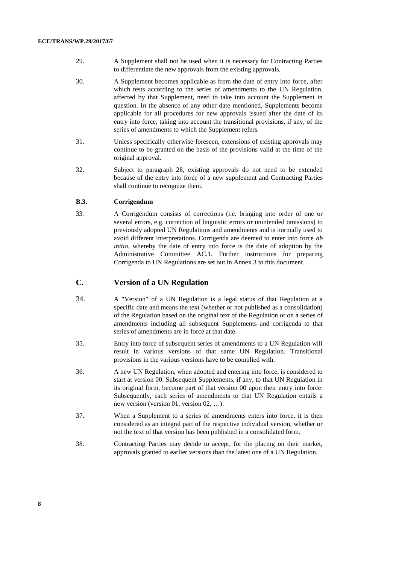- 29. A Supplement shall not be used when it is necessary for Contracting Parties to differentiate the new approvals from the existing approvals.
- 30. A Supplement becomes applicable as from the date of entry into force, after which tests according to the series of amendments to the UN Regulation, affected by that Supplement, need to take into account the Supplement in question. In the absence of any other date mentioned, Supplements become applicable for all procedures for new approvals issued after the date of its entry into force, taking into account the transitional provisions, if any, of the series of amendments to which the Supplement refers.
- 31. Unless specifically otherwise foreseen, extensions of existing approvals may continue to be granted on the basis of the provisions valid at the time of the original approval.
- 32. Subject to paragraph 28, existing approvals do not need to be extended because of the entry into force of a new supplement and Contracting Parties shall continue to recognize them.

#### **B.3. Corrigendum**

33. A Corrigendum consists of corrections (i.e. bringing into order of one or several errors, e.g. correction of linguistic errors or unintended omissions) to previously adopted UN Regulations and amendments and is normally used to avoid different interpretations. Corrigenda are deemed to enter into force *ab initio*, whereby the date of entry into force is the date of adoption by the Administrative Committee AC.1. Further instructions for preparing Corrigenda to UN Regulations are set out in Annex 3 to this document.

### **C. Version of a UN Regulation**

- 34. A "Version" of a UN Regulation is a legal status of that Regulation at a specific date and means the text (whether or not published as a consolidation) of the Regulation based on the original text of the Regulation or on a series of amendments including all subsequent Supplements and corrigenda to that series of amendments are in force at that date.
- 35. Entry into force of subsequent series of amendments to a UN Regulation will result in various versions of that same UN Regulation. Transitional provisions in the various versions have to be complied with.
- 36. A new UN Regulation, when adopted and entering into force, is considered to start at version 00. Subsequent Supplements, if any, to that UN Regulation in its original form, become part of that version 00 upon their entry into force. Subsequently, each series of amendments to that UN Regulation entails a new version (version 01, version 02, …).
- 37. When a Supplement to a series of amendments enters into force, it is then considered as an integral part of the respective individual version, whether or not the text of that version has been published in a consolidated form.
- 38. Contracting Parties may decide to accept, for the placing on their market, approvals granted to earlier versions than the latest one of a UN Regulation.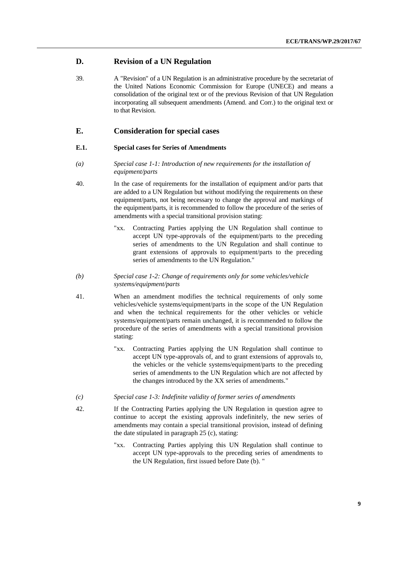### **D. Revision of a UN Regulation**

39. A "Revision" of a UN Regulation is an administrative procedure by the secretariat of the United Nations Economic Commission for Europe (UNECE) and means a consolidation of the original text or of the previous Revision of that UN Regulation incorporating all subsequent amendments (Amend. and Corr.) to the original text or to that Revision.

### **E. Consideration for special cases**

#### **E.1. Special cases for Series of Amendments**

- *(a) Special case 1-1: Introduction of new requirements for the installation of equipment/parts*
- 40. In the case of requirements for the installation of equipment and/or parts that are added to a UN Regulation but without modifying the requirements on these equipment/parts, not being necessary to change the approval and markings of the equipment/parts, it is recommended to follow the procedure of the series of amendments with a special transitional provision stating:
	- "xx. Contracting Parties applying the UN Regulation shall continue to accept UN type-approvals of the equipment/parts to the preceding series of amendments to the UN Regulation and shall continue to grant extensions of approvals to equipment/parts to the preceding series of amendments to the UN Regulation."
- *(b) Special case 1-2: Change of requirements only for some vehicles/vehicle systems/equipment/parts*
- 41. When an amendment modifies the technical requirements of only some vehicles/vehicle systems/equipment/parts in the scope of the UN Regulation and when the technical requirements for the other vehicles or vehicle systems/equipment/parts remain unchanged, it is recommended to follow the procedure of the series of amendments with a special transitional provision stating:
	- "xx. Contracting Parties applying the UN Regulation shall continue to accept UN type-approvals of, and to grant extensions of approvals to, the vehicles or the vehicle systems/equipment/parts to the preceding series of amendments to the UN Regulation which are not affected by the changes introduced by the XX series of amendments."
- *(c) Special case 1-3: Indefinite validity of former series of amendments*
- 42. If the Contracting Parties applying the UN Regulation in question agree to continue to accept the existing approvals indefinitely, the new series of amendments may contain a special transitional provision, instead of defining the date stipulated in paragraph 25 (c), stating:
	- "xx. Contracting Parties applying this UN Regulation shall continue to accept UN type-approvals to the preceding series of amendments to the UN Regulation, first issued before Date (b). "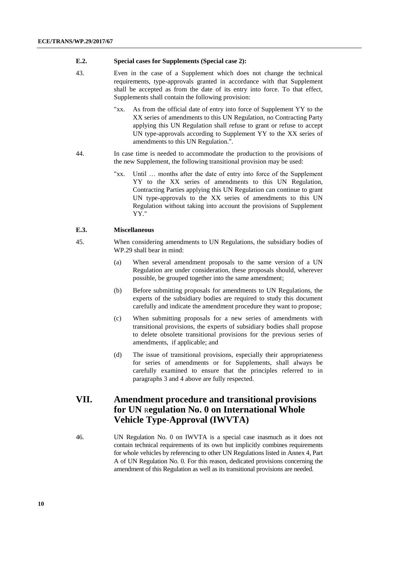#### **E.2. Special cases for Supplements (Special case 2):**

- 43. Even in the case of a Supplement which does not change the technical requirements, type-approvals granted in accordance with that Supplement shall be accepted as from the date of its entry into force. To that effect, Supplements shall contain the following provision:
	- "xx. As from the official date of entry into force of Supplement YY to the XX series of amendments to this UN Regulation, no Contracting Party applying this UN Regulation shall refuse to grant or refuse to accept UN type-approvals according to Supplement YY to the XX series of amendments to this UN Regulation.".
- 44. In case time is needed to accommodate the production to the provisions of the new Supplement, the following transitional provision may be used:
	- "xx. Until … months after the date of entry into force of the Supplement YY to the XX series of amendments to this UN Regulation, Contracting Parties applying this UN Regulation can continue to grant UN type-approvals to the XX series of amendments to this UN Regulation without taking into account the provisions of Supplement YY."

#### **E.3. Miscellaneous**

- 45. When considering amendments to UN Regulations, the subsidiary bodies of WP.29 shall bear in mind:
	- (a) When several amendment proposals to the same version of a UN Regulation are under consideration, these proposals should, wherever possible, be grouped together into the same amendment;
	- (b) Before submitting proposals for amendments to UN Regulations, the experts of the subsidiary bodies are required to study this document carefully and indicate the amendment procedure they want to propose;
	- (c) When submitting proposals for a new series of amendments with transitional provisions, the experts of subsidiary bodies shall propose to delete obsolete transitional provisions for the previous series of amendments, if applicable; and
	- (d) The issue of transitional provisions, especially their appropriateness for series of amendments or for Supplements, shall always be carefully examined to ensure that the principles referred to in paragraphs 3 and 4 above are fully respected.

## **VII. Amendment procedure and transitional provisions for UN** R**egulation No. 0 on International Whole Vehicle Type-Approval (IWVTA)**

46. UN Regulation No. 0 on IWVTA is a special case inasmuch as it does not contain technical requirements of its own but implicitly combines requirements for whole vehicles by referencing to other UN Regulations listed in Annex 4, Part A of UN Regulation No. 0. For this reason, dedicated provisions concerning the amendment of this Regulation as well as its transitional provisions are needed.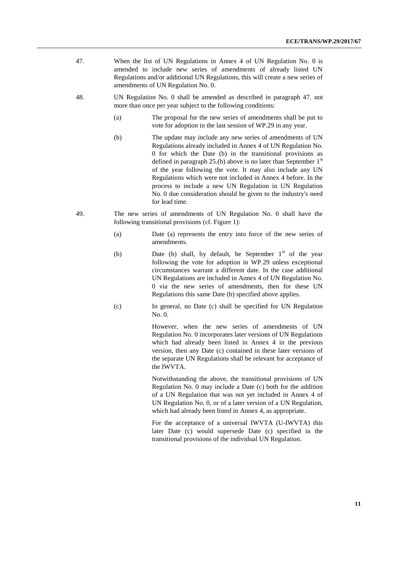- 47. When the list of UN Regulations in Annex 4 of UN Regulation No. 0 is amended to include new series of amendments of already listed UN Regulations and/or additional UN Regulations, this will create a new series of amendments of UN Regulation No. 0.
- 48. UN Regulation No. 0 shall be amended as described in paragraph 47. not more than once per year subject to the following conditions:
	- (a) The proposal for the new series of amendments shall be put to vote for adoption in the last session of WP.29 in any year.
	- (b) The update may include any new series of amendments of UN Regulations already included in Annex 4 of UN Regulation No. 0 for which the Date (b) in the transitional provisions as defined in paragraph 25.(b) above is no later than September  $1<sup>st</sup>$ of the year following the vote. It may also include any UN Regulations which were not included in Annex 4 before. In the process to include a new UN Regulation in UN Regulation No. 0 due consideration should be given to the industry's need for lead time.
- 49. The new series of amendments of UN Regulation No. 0 shall have the following transitional provisions (cf. Figure 1):
	- (a) Date (a) represents the entry into force of the new series of amendments.
	- (b) Date (b) shall, by default, be September  $1<sup>st</sup>$  of the year following the vote for adoption in WP.29 unless exceptional circumstances warrant a different date. In the case additional UN Regulations are included in Annex 4 of UN Regulation No. 0 via the new series of amendments, then for these UN Regulations this same Date (b) specified above applies.
	- (c) In general, no Date (c) shall be specified for UN Regulation No. 0.

However, when the new series of amendments of UN Regulation No. 0 incorporates later versions of UN Regulations which had already been listed in Annex 4 in the previous version, then any Date (c) contained in these later versions of the separate UN Regulations shall be relevant for acceptance of the IWVTA.

Notwithstanding the above, the transitional provisions of UN Regulation No. 0 may include a Date (c) both for the addition of a UN Regulation that was not yet included in Annex 4 of UN Regulation No. 0, or of a later version of a UN Regulation, which had already been listed in Annex 4, as appropriate.

For the acceptance of a universal IWVTA (U-IWVTA) this later Date (c) would supersede Date (c) specified in the transitional provisions of the individual UN Regulation.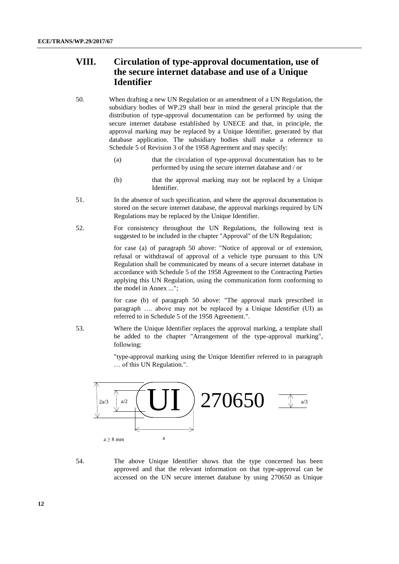# **VIII. Circulation of type-approval documentation, use of the secure internet database and use of a Unique Identifier**

- 50. When drafting a new UN Regulation or an amendment of a UN Regulation, the subsidiary bodies of WP.29 shall bear in mind the general principle that the distribution of type-approval documentation can be performed by using the secure internet database established by UNECE and that, in principle, the approval marking may be replaced by a Unique Identifier, generated by that database application. The subsidiary bodies shall make a reference to Schedule 5 of Revision 3 of the 1958 Agreement and may specify:
	- (a) that the circulation of type-approval documentation has to be performed by using the secure internet database and / or
	- (b) that the approval marking may not be replaced by a Unique Identifier.
- 51. In the absence of such specification, and where the approval documentation is stored on the secure internet database, the approval markings required by UN Regulations may be replaced by the Unique Identifier.
- 52. For consistency throughout the UN Regulations, the following text is suggested to be included in the chapter "Approval" of the UN Regulation;

for case (a) of paragraph 50 above: "Notice of approval or of extension, refusal or withdrawal of approval of a vehicle type pursuant to this UN Regulation shall be communicated by means of a secure internet database in accordance with Schedule 5 of the 1958 Agreement to the Contracting Parties applying this UN Regulation, using the communication form conforming to the model in Annex ...";

for case (b) of paragraph 50 above: "The approval mark prescribed in paragraph …. above may not be replaced by a Unique Identifier (UI) as referred to in Schedule 5 of the 1958 Agreement.".

53. Where the Unique Identifier replaces the approval marking, a template shall be added to the chapter "Arrangement of the type-approval marking", following:

> "type-approval marking using the Unique Identifier referred to in paragraph … of this UN Regulation.".



54. The above Unique Identifier shows that the type concerned has been approved and that the relevant information on that type-approval can be accessed on the UN secure internet database by using 270650 as Unique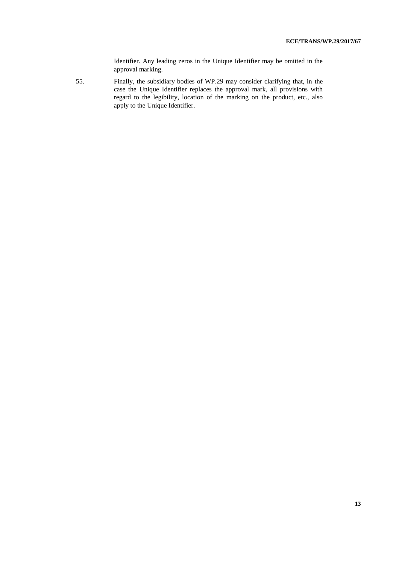Identifier. Any leading zeros in the Unique Identifier may be omitted in the approval marking.

55. Finally, the subsidiary bodies of WP.29 may consider clarifying that, in the case the Unique Identifier replaces the approval mark, all provisions with regard to the legibility, location of the marking on the product, etc., also apply to the Unique Identifier.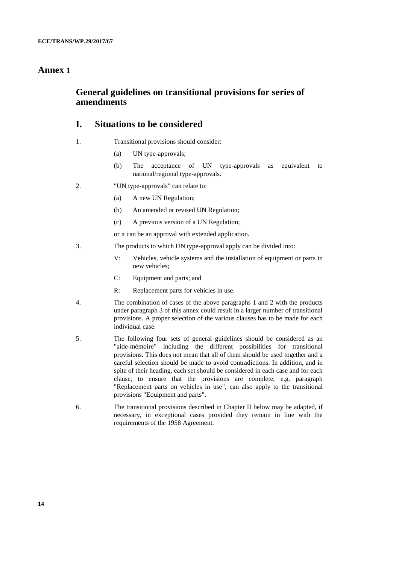## **Annex 1**

## **General guidelines on transitional provisions for series of amendments**

## **I. Situations to be considered**

- 1. Transitional provisions should consider:
	- (a) UN type-approvals;
	- (b) The acceptance of UN type-approvals as equivalent to national/regional type-approvals.
- 2. "UN type-approvals" can relate to:
	- (a) A new UN Regulation;
	- (b) An amended or revised UN Regulation;
	- (c) A previous version of a UN Regulation;

or it can be an approval with extended application.

- 3. The products to which UN type-approval apply can be divided into:
	- V: Vehicles, vehicle systems and the installation of equipment or parts in new vehicles;
	- C: Equipment and parts; and
	- R: Replacement parts for vehicles in use.
- 4. The combination of cases of the above paragraphs 1 and 2 with the products under paragraph 3 of this annex could result in a larger number of transitional provisions. A proper selection of the various clauses has to be made for each individual case.
- 5. The following four sets of general guidelines should be considered as an "aide-mémoire" including the different possibilities for transitional provisions. This does not mean that all of them should be used together and a careful selection should be made to avoid contradictions. In addition, and in spite of their heading, each set should be considered in each case and for each clause, to ensure that the provisions are complete, e.g. paragraph "Replacement parts on vehicles in use", can also apply to the transitional provisions "Equipment and parts".
- 6. The transitional provisions described in Chapter II below may be adapted, if necessary, in exceptional cases provided they remain in line with the requirements of the 1958 Agreement.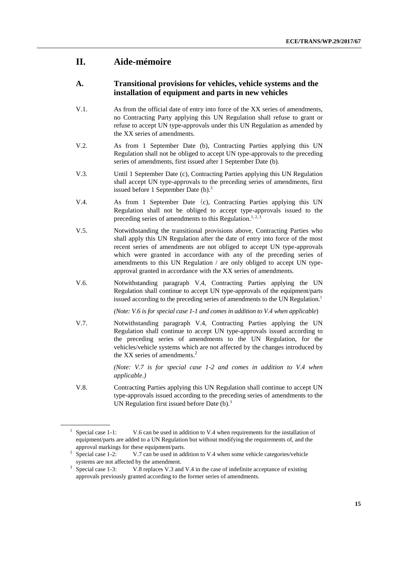## **II. Aide-mémoire**

### **A. Transitional provisions for vehicles, vehicle systems and the installation of equipment and parts in new vehicles**

- V.1. As from the official date of entry into force of the XX series of amendments, no Contracting Party applying this UN Regulation shall refuse to grant or refuse to accept UN type-approvals under this UN Regulation as amended by the XX series of amendments.
- V.2. As from 1 September Date (b), Contracting Parties applying this UN Regulation shall not be obliged to accept UN type-approvals to the preceding series of amendments, first issued after 1 September Date (b).
- V.3. Until 1 September Date (c), Contracting Parties applying this UN Regulation shall accept UN type-approvals to the preceding series of amendments, first issued before 1 September Date (b).<sup>3</sup>
- V.4. As from 1 September Date (c), Contracting Parties applying this UN Regulation shall not be obliged to accept type-approvals issued to the preceding series of amendments to this Regulation.<sup>1, 2, 3</sup>
- V.5. Notwithstanding the transitional provisions above, Contracting Parties who shall apply this UN Regulation after the date of entry into force of the most recent series of amendments are not obliged to accept UN type-approvals which were granted in accordance with any of the preceding series of amendments to this UN Regulation / are only obliged to accept UN typeapproval granted in accordance with the XX series of amendments.
- V.6. Notwithstanding paragraph V.4, Contracting Parties applying the UN Regulation shall continue to accept UN type-approvals of the equipment/parts issued according to the preceding series of amendments to the UN Regulation. 1

*(Note: V.6 is for special case 1-1 and comes in addition to V.4 when applicable*)

V.7. Notwithstanding paragraph V.4, Contracting Parties applying the UN Regulation shall continue to accept UN type-approvals issued according to the preceding series of amendments to the UN Regulation, for the vehicles/vehicle systems which are not affected by the changes introduced by the XX series of amendments.<sup>2</sup>

> *(Note: V.7 is for special case 1-2 and comes in addition to V.4 when applicable.)*

V.8. Contracting Parties applying this UN Regulation shall continue to accept UN type-approvals issued according to the preceding series of amendments to the UN Regulation first issued before Date  $(b)$ .<sup>3</sup>

<sup>&</sup>lt;sup>1</sup> Special case 1-1: V.6 can be used in addition to V.4 when requirements for the installation of equipment/parts are added to a UN Regulation but without modifying the requirements of, and the approval markings for these equipment/parts.

<sup>2</sup> Special case 1-2: V.7 can be used in addition to V.4 when some vehicle categories/vehicle systems are not affected by the amendment.

<sup>3</sup> Special case 1-3: V.8 replaces V.3 and V.4 in the case of indefinite acceptance of existing approvals previously granted according to the former series of amendments.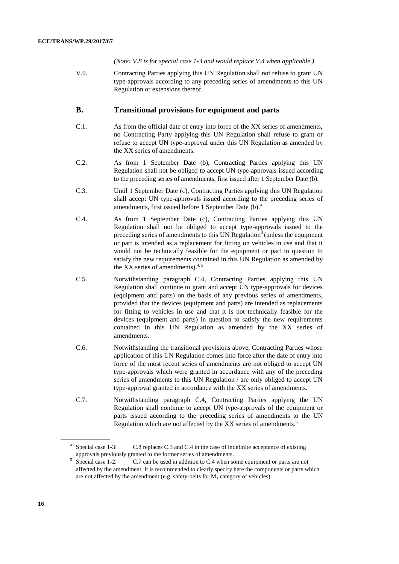*(Note: V.8 is for special case 1-3 and would replace V.4 when applicable.)*

V.9. Contracting Parties applying this UN Regulation shall not refuse to grant UN type-approvals according to any preceding series of amendments to this UN Regulation or extensions thereof.

### **B. Transitional provisions for equipment and parts**

- C.1. As from the official date of entry into force of the XX series of amendments, no Contracting Party applying this UN Regulation shall refuse to grant or refuse to accept UN type-approval under this UN Regulation as amended by the XX series of amendments.
- C.2. As from 1 September Date (b), Contracting Parties applying this UN Regulation shall not be obliged to accept UN type-approvals issued according to the preceding series of amendments, first issued after 1 September Date (b).
- C.3. Until 1 September Date (c), Contracting Parties applying this UN Regulation shall accept UN type-approvals issued according to the preceding series of amendments, first issued before 1 September Date (b). 4
- C.4. As from 1 September Date (c), Contracting Parties applying this UN Regulation shall not be obliged to accept type-approvals issued to the preceding series of amendments to this UN Regulation**<sup>4</sup>**(unless the equipment or part is intended as a replacement for fitting on vehicles in use and that it would not be technically feasible for the equipment or part in question to satisfy the new requirements contained in this UN Regulation as amended by the XX series of amendments). $4,5$
- C.5. Notwithstanding paragraph C.4, Contracting Parties applying this UN Regulation shall continue to grant and accept UN type-approvals for devices (equipment and parts) on the basis of any previous series of amendments, provided that the devices (equipment and parts) are intended as replacements for fitting to vehicles in use and that it is not technically feasible for the devices (equipment and parts) in question to satisfy the new requirements contained in this UN Regulation as amended by the XX series of amendments.
- C.6. Notwithstanding the transitional provisions above, Contracting Parties whose application of this UN Regulation comes into force after the date of entry into force of the most recent series of amendments are not obliged to accept UN type-approvals which were granted in accordance with any of the preceding series of amendments to this UN Regulation / are only obliged to accept UN type-approval granted in accordance with the XX series of amendments.
- C.7. Notwithstanding paragraph C.4, Contracting Parties applying the UN Regulation shall continue to accept UN type-approvals of the equipment or parts issued according to the preceding series of amendments to the UN Regulation which are not affected by the XX series of amendments.<sup>5</sup>

<sup>&</sup>lt;sup>4</sup> Special case 1-3: C.8 replaces C.3 and C.4 in the case of indefinite acceptance of existing approvals previously granted to the former series of amendments.

<sup>5</sup> Special case 1-2: C.7 can be used in addition to C.4 when some equipment or parts are not affected by the amendment. It is recommended to clearly specify here the components or parts which are not affected by the amendment (e.g. safety-belts for  $M_1$  category of vehicles).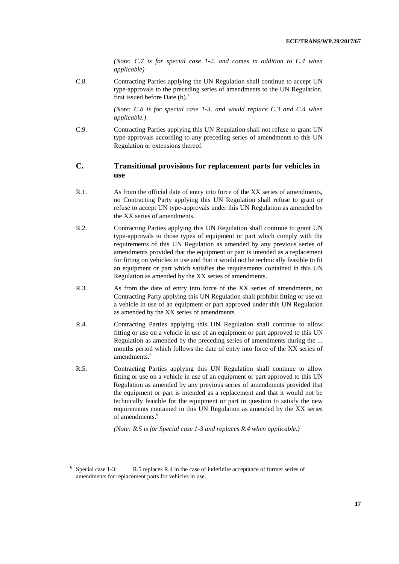*(Note: C.7 is for special case 1-2. and comes in addition to C.4 when applicable)*

C.8. Contracting Parties applying the UN Regulation shall continue to accept UN type-approvals to the preceding series of amendments to the UN Regulation, first issued before Date (b). 4

> *(Note: C.8 is for special case 1-3. and would replace C.3 and C.4 when applicable.)*

C.9. Contracting Parties applying this UN Regulation shall not refuse to grant UN type-approvals according to any preceding series of amendments to this UN Regulation or extensions thereof.

### **C. Transitional provisions for replacement parts for vehicles in use**

- R.1. As from the official date of entry into force of the XX series of amendments, no Contracting Party applying this UN Regulation shall refuse to grant or refuse to accept UN type-approvals under this UN Regulation as amended by the XX series of amendments.
- R.2. Contracting Parties applying this UN Regulation shall continue to grant UN type-approvals to those types of equipment or part which comply with the requirements of this UN Regulation as amended by any previous series of amendments provided that the equipment or part is intended as a replacement for fitting on vehicles in use and that it would not be technically feasible to fit an equipment or part which satisfies the requirements contained in this UN Regulation as amended by the XX series of amendments.
- R.3. As from the date of entry into force of the XX series of amendments, no Contracting Party applying this UN Regulation shall prohibit fitting or use on a vehicle in use of an equipment or part approved under this UN Regulation as amended by the XX series of amendments.
- R.4. Contracting Parties applying this UN Regulation shall continue to allow fitting or use on a vehicle in use of an equipment or part approved to this UN Regulation as amended by the preceding series of amendments during the ... months period which follows the date of entry into force of the XX series of amendments. 6
- R.5. Contracting Parties applying this UN Regulation shall continue to allow fitting or use on a vehicle in use of an equipment or part approved to this UN Regulation as amended by any previous series of amendments provided that the equipment or part is intended as a replacement and that it would not be technically feasible for the equipment or part in question to satisfy the new requirements contained in this UN Regulation as amended by the XX series of amendments. 6

*(Note: R.5 is for Special case 1-3 and replaces R.4 when applicable.)*

<sup>&</sup>lt;sup>6</sup> Special case 1-3: R.5 replaces R.4 in the case of indefinite acceptance of former series of amendments for replacement parts for vehicles in use.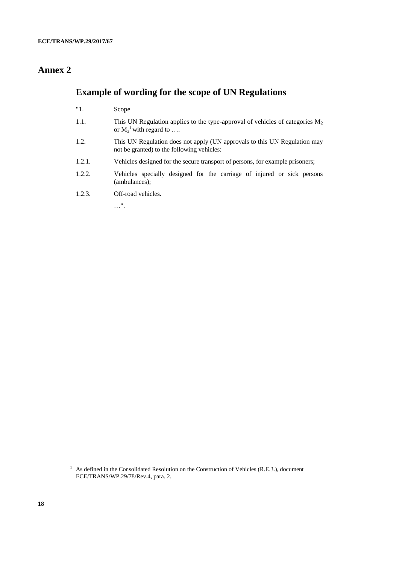# **Annex 2**

# **Example of wording for the scope of UN Regulations**

- "1. Scope
- 1.1. This UN Regulation applies to the type-approval of vehicles of categories  $M_2$ or  $M_3^1$  with regard to ....
- 1.2. This UN Regulation does not apply (UN approvals to this UN Regulation may not be granted) to the following vehicles:
- 1.2.1. Vehicles designed for the secure transport of persons, for example prisoners;
- 1.2.2. Vehicles specially designed for the carriage of injured or sick persons (ambulances);
- 1.2.3. Off-road vehicles.

…".

<sup>&</sup>lt;sup>1</sup> As defined in the Consolidated Resolution on the Construction of Vehicles (R.E.3.), document ECE/TRANS/WP.29/78/Rev.4, para. 2.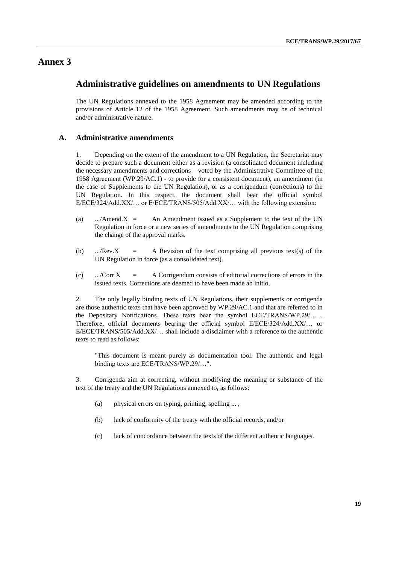## **Annex 3**

### **Administrative guidelines on amendments to UN Regulations**

The UN Regulations annexed to the 1958 Agreement may be amended according to the provisions of Article 12 of the 1958 Agreement. Such amendments may be of technical and/or administrative nature.

### **A. Administrative amendments**

1. Depending on the extent of the amendment to a UN Regulation, the Secretariat may decide to prepare such a document either as a revision (a consolidated document including the necessary amendments and corrections – voted by the Administrative Committee of the 1958 Agreement (WP.29/AC.1) - to provide for a consistent document), an amendment (in the case of Supplements to the UN Regulation), or as a corrigendum (corrections) to the UN Regulation. In this respect, the document shall bear the official symbol E/ECE/324/Add.XX/… or E/ECE/TRANS/505/Add.XX/… with the following extension:

- (a) .../Amend. $X =$  An Amendment issued as a Supplement to the text of the UN Regulation in force or a new series of amendments to the UN Regulation comprising the change of the approval marks.
- (b) .../Rev.X = A Revision of the text comprising all previous text(s) of the UN Regulation in force (as a consolidated text).
- (c) .../Corr.X = A Corrigendum consists of editorial corrections of errors in the issued texts. Corrections are deemed to have been made ab initio.

2. The only legally binding texts of UN Regulations, their supplements or corrigenda are those authentic texts that have been approved by WP.29/AC.1 and that are referred to in the Depositary Notifications. These texts bear the symbol ECE/TRANS/WP.29/… . Therefore, official documents bearing the official symbol E/ECE/324/Add.XX/… or E/ECE/TRANS/505/Add.XX/… shall include a disclaimer with a reference to the authentic texts to read as follows:

"This document is meant purely as documentation tool. The authentic and legal binding texts are ECE/TRANS/WP.29/…".

3. Corrigenda aim at correcting, without modifying the meaning or substance of the text of the treaty and the UN Regulations annexed to, as follows:

- (a) physical errors on typing, printing, spelling ... ,
- (b) lack of conformity of the treaty with the official records, and/or
- (c) lack of concordance between the texts of the different authentic languages.